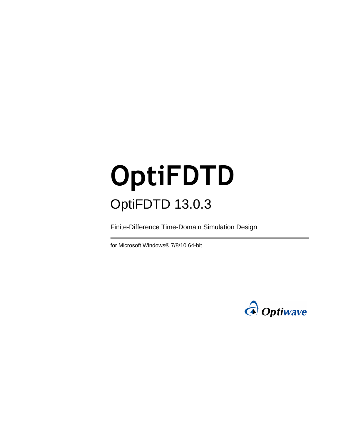# **OptiFDTD** OptiFDTD 13.0.3

Finite-Difference Time-Domain Simulation Design

for Microsoft Windows® 7/8/10 64-bit

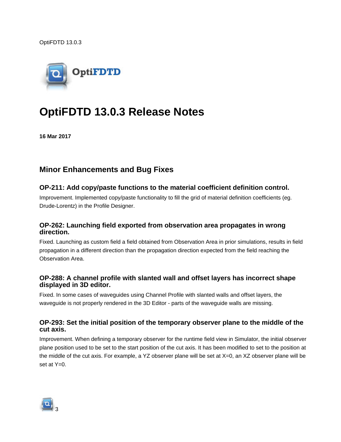OptiFDTD 13.0.3



# **OptiFDTD 13.0.3 Release Notes**

**16 Mar 2017**

# **Minor Enhancements and Bug Fixes**

#### **OP-211: Add copy/paste functions to the material coefficient definition control.**

Improvement. Implemented copy/paste functionality to fill the grid of material definition coefficients (eg. Drude-Lorentz) in the Profile Designer.

#### **OP-262: Launching field exported from observation area propagates in wrong direction.**

Fixed. Launching as custom field a field obtained from Observation Area in prior simulations, results in field propagation in a different direction than the propagation direction expected from the field reaching the Observation Area.

#### **OP-288: A channel profile with slanted wall and offset layers has incorrect shape displayed in 3D editor.**

Fixed. In some cases of waveguides using Channel Profile with slanted walls and offset layers, the waveguide is not properly rendered in the 3D Editor - parts of the waveguide walls are missing.

#### **OP-293: Set the initial position of the temporary observer plane to the middle of the cut axis.**

Improvement. When defining a temporary observer for the runtime field view in Simulator, the initial observer plane position used to be set to the start position of the cut axis. It has been modified to set to the position at the middle of the cut axis. For example, a YZ observer plane will be set at X=0, an XZ observer plane will be set at  $Y=0$ .

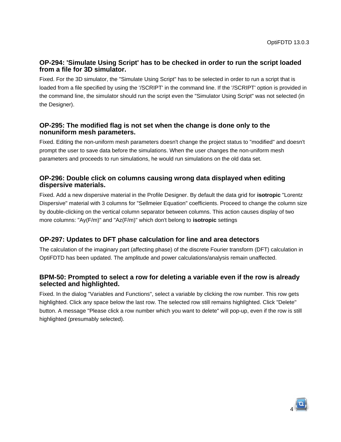#### **OP-294: 'Simulate Using Script' has to be checked in order to run the script loaded from a file for 3D simulator.**

Fixed. For the 3D simulator, the "Simulate Using Script" has to be selected in order to run a script that is loaded from a file specified by using the '/SCRIPT' in the command line. If the '/SCRIPT' option is provided in the command line, the simulator should run the script even the "Simulator Using Script" was not selected (in the Designer).

#### **OP-295: The modified flag is not set when the change is done only to the nonuniform mesh parameters.**

Fixed. Editing the non-uniform mesh parameters doesn't change the project status to "modified" and doesn't prompt the user to save data before the simulations. When the user changes the non-uniform mesh parameters and proceeds to run simulations, he would run simulations on the old data set.

#### **OP-296: Double click on columns causing wrong data displayed when editing dispersive materials.**

Fixed. Add a new dispersive material in the Profile Designer. By default the data grid for **isotropic** "Lorentz Dispersive" material with 3 columns for "Sellmeier Equation" coefficients. Proceed to change the column size by double-clicking on the vertical column separator between columns. This action causes display of two more columns: "Ay(F/m)" and "Az(F/m)" which don't belong to **isotropic** settings

#### **OP-297: Updates to DFT phase calculation for line and area detectors**

The calculation of the imaginary part (affecting phase) of the discrete Fourier transform (DFT) calculation in OptiFDTD has been updated. The amplitude and power calculations/analysis remain unaffected.

#### **BPM-50: Prompted to select a row for deleting a variable even if the row is already selected and highlighted.**

Fixed. In the dialog "Variables and Functions", select a variable by clicking the row number. This row gets highlighted. Click any space below the last row. The selected row still remains highlighted. Click "Delete" button. A message "Please click a row number which you want to delete" will pop-up, even if the row is still highlighted (presumably selected).

4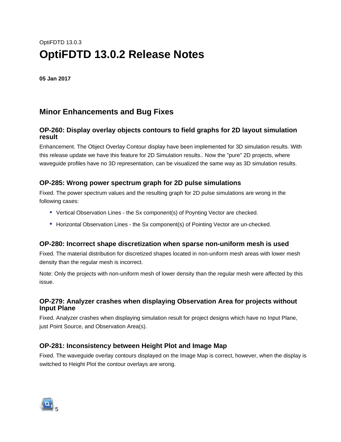# OptiFDTD 13.0.3 **OptiFDTD 13.0.2 Release Notes**

**05 Jan 2017**

# **Minor Enhancements and Bug Fixes**

#### **OP-260: Display overlay objects contours to field graphs for 2D layout simulation result**

Enhancement. The Object Overlay Contour display have been implemented for 3D simulation results. With this release update we have this feature for 2D Simulation results.. Now the "pure" 2D projects, where waveguide profiles have no 3D representation, can be visualized the same way as 3D simulation results.

#### **OP-285: Wrong power spectrum graph for 2D pulse simulations**

Fixed. The power spectrum values and the resulting graph for 2D pulse simulations are wrong in the following cases:

- Vertical Observation Lines the Sx component(s) of Poynting Vector are checked.
- Horizontal Observation Lines the Sx component(s) of Pointing Vector are un-checked.

#### **OP-280: Incorrect shape discretization when sparse non-uniform mesh is used**

Fixed. The material distribution for discretized shapes located in non-uniform mesh areas with lower mesh density than the regular mesh is incorrect.

Note: Only the projects with non-uniform mesh of lower density than the regular mesh were affected by this issue.

#### **OP-279: Analyzer crashes when displaying Observation Area for projects without Input Plane**

Fixed. Analyzer crashes when displaying simulation result for project designs which have no Input Plane, just Point Source, and Observation Area(s).

#### **OP-281: Inconsistency between Height Plot and Image Map**

Fixed. The waveguide overlay contours displayed on the Image Map is correct, however, when the display is switched to Height Plot the contour overlays are wrong.

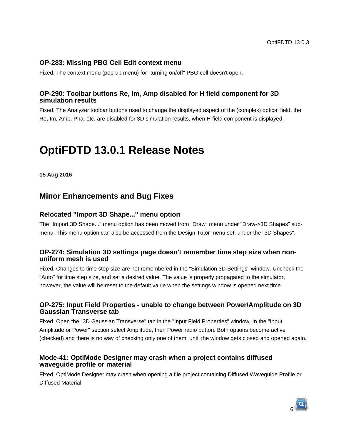#### **OP-283: Missing PBG Cell Edit context menu**

Fixed. The context menu (pop-up menu) for "turning on/off" PBG cell doesn't open.

#### **OP-290: Toolbar buttons Re, Im, Amp disabled for H field component for 3D simulation results**

Fixed. The Analyzer toolbar buttons used to change the displayed aspect of the (complex) optical field, the Re, Im, Amp, Pha, etc. are disabled for 3D simulation results, when H field component is displayed.

# **OptiFDTD 13.0.1 Release Notes**

**15 Aug 2016**

## **Minor Enhancements and Bug Fixes**

#### **Relocated "Import 3D Shape..." menu option**

The "Import 3D Shape..." menu option has been moved from "Draw" menu under "Draw->3D Shapes" submenu. This menu option can also be accessed from the Design Tutor menu set, under the "3D Shapes".

#### **OP-274: Simulation 3D settings page doesn't remember time step size when nonuniform mesh is used**

Fixed. Changes to time step size are not remembered in the "Simulation 3D Settings" window. Uncheck the "Auto" for time step size, and set a desired value. The value is properly propagated to the simulator, however, the value will be reset to the default value when the settings window is opened next time.

#### **OP-275: Input Field Properties - unable to change between Power/Amplitude on 3D Gaussian Transverse tab**

Fixed. Open the "3D Gaussian Transverse" tab in the "Input Field Properties" window. In the "Input Amplitude or Power" section select Amplitude, then Power radio button. Both options become active (checked) and there is no way of checking only one of them, until the window gets closed and opened again.

#### **Mode-41: OptiMode Designer may crash when a project contains diffused waveguide profile or material**

Fixed. OptiMode Designer may crash when opening a file project containing Diffused Waveguide Profile or Diffused Material.

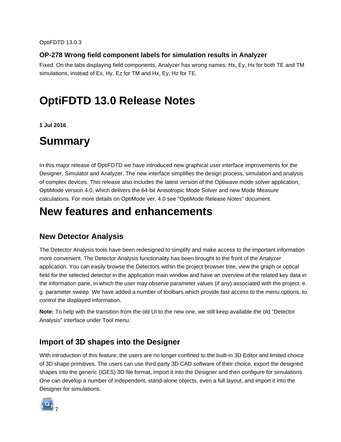#### **OP-278 Wrong field component labels for simulation results in Analyzer**

Fixed. On the tabs displaying field components, Analyzer has wrong names: Hx, Ey, Hx for both TE and TM simulations, instead of Ex, Hy, Ez for TM and Hx, Ey, Hz for TE.

# **OptiFDTD 13.0 Release Notes**

**1 Jul 2016**

# **Summary**

In this major release of OptiFDTD we have introduced new graphical user interface improvements for the Designer, Simulator and Analyzer. The new interface simplifies the design process, simulation and analysis of complex devices. This release also includes the latest version of the Optiwave mode solver application, OptiMode version 4.0, which delivers the 64-bit Anisotropic Mode Solver and new Mode Measure calculations. For more details on OptiMode ver. 4.0 see "OptiMode Release Notes" document.

# **New features and enhancements**

# **New Detector Analysis**

The Detector Analysis tools have been redesigned to simplify and make access to the important information more convenient. The Detector Analysis functionality has been brought to the front of the Analyzer application. You can easily browse the Detectors within the project browser tree, view the graph or optical field for the selected detector in the application main window and have an overview of the related key data in the information pane, in which the user may observe parameter values (if any) associated with the project, e. g. parameter sweep. We have added a number of toolbars which provide fast access to the menu options, to control the displayed information.

**Note:** To help with the transition from the old UI to the new one, we still keep available the old "Detector Analysis" interface under Tool menu.

# **Import of 3D shapes into the Designer**

With introduction of this feature, the users are no longer confined to the built-in 3D Editor and limited choice of 3D shape primitives. The users can use third party 3D CAD software of their choice, export the designed shapes into the generic (IGES) 3D file format, import it into the Designer and then configure for simulations. One can develop a number of independent, stand-alone objects, even a full layout, and import it into the Designer for simulations.

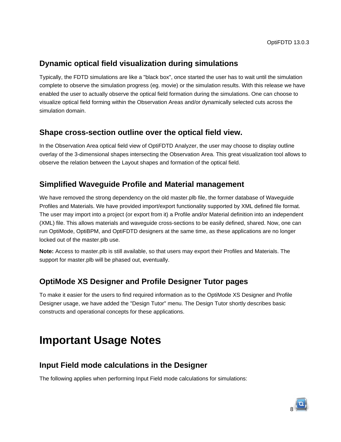# **Dynamic optical field visualization during simulations**

Typically, the FDTD simulations are like a "black box", once started the user has to wait until the simulation complete to observe the simulation progress (eg. movie) or the simulation results. With this release we have enabled the user to actually observe the optical field formation during the simulations. One can choose to visualize optical field forming within the Observation Areas and/or dynamically selected cuts across the simulation domain.

## **Shape cross-section outline over the optical field view.**

In the Observation Area optical field view of OptiFDTD Analyzer, the user may choose to display outline overlay of the 3-dimensional shapes intersecting the Observation Area. This great visualization tool allows to observe the relation between the Layout shapes and formation of the optical field.

# **Simplified Waveguide Profile and Material management**

We have removed the strong dependency on the old master.plb file, the former database of Waveguide Profiles and Materials. We have provided import/export functionality supported by XML defined file format. The user may import into a project (or export from it) a Profile and/or Material definition into an independent (XML) file. This allows materials and waveguide cross-sections to be easily defined, shared. Now, one can run OptiMode, OptiBPM, and OptiFDTD designers at the same time, as these applications are no longer locked out of the master.plb use.

**Note:** Access to master.plb is still available, so that users may export their Profiles and Materials. The support for master.plb will be phased out, eventually.

# **OptiMode XS Designer and Profile Designer Tutor pages**

To make it easier for the users to find required information as to the OptiMode XS Designer and Profile Designer usage, we have added the "Design Tutor" menu. The Design Tutor shortly describes basic constructs and operational concepts for these applications.

# **Important Usage Notes**

# **Input Field mode calculations in the Designer**

The following applies when performing Input Field mode calculations for simulations: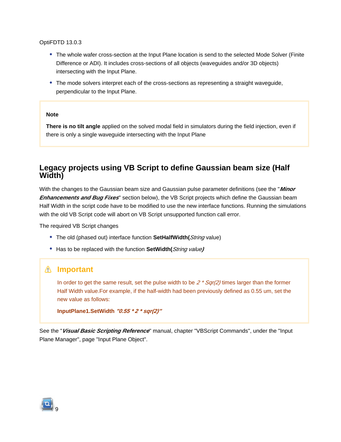OptiFDTD 13.0.3

- The whole wafer cross-section at the Input Plane location is send to the selected Mode Solver (Finite Difference or ADI). It includes cross-sections of all objects (waveguides and/or 3D objects) intersecting with the Input Plane.
- The mode solvers interpret each of the cross-sections as representing a straight waveguide, perpendicular to the Input Plane.

#### **Note**

**There is no tilt angle** applied on the solved modal field in simulators during the field injection, even if there is only a single waveguide intersecting with the Input Plane

## **Legacy projects using VB Script to define Gaussian beam size (Half Width)**

With the changes to the Gaussian beam size and Gaussian pulse parameter definitions (see the "**Minor Enhancements and Bug Fixes**" section below), the VB Script projects which define the Gaussian beam Half Width in the script code have to be modified to use the new interface functions. Running the simulations with the old VB Script code will abort on VB Script unsupported function call error.

The required VB Script changes

- The old (phased out) interface function **SetHalfWidth(***String* value)
- Has to be replaced with the function **SetWidth(**String value**)**

#### **Important**

In order to get the same result, set the pulse width to be  $2 * \frac{Sqr(2)}{imes}$  limes larger than the former Half Width value.For example, if the half-width had been previously defined as 0.55 um, set the new value as follows:

```
InputPlane1.SetWidth "0.55 * 2 * sqr(2)"
```
See the "**Visual Basic Scripting Reference**" manual, chapter "VBScript Commands", under the "Input Plane Manager", page "Input Plane Object".

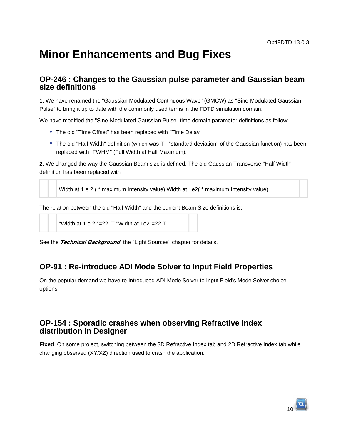# **Minor Enhancements and Bug Fixes**

### **OP-246 : Changes to the Gaussian pulse parameter and Gaussian beam size definitions**

**1.** We have renamed the "Gaussian Modulated Continuous Wave" (GMCW) as "Sine-Modulated Gaussian Pulse" to bring it up to date with the commonly used terms in the FDTD simulation domain.

We have modified the "Sine-Modulated Gaussian Pulse" time domain parameter definitions as follow:

- The old "Time Offset" has been replaced with "Time Delay"
- The old "Half Width" definition (which was T "standard deviation" of the Gaussian function) has been replaced with "FWHM" (Full Width at Half Maximum).

**2.** We changed the way the Gaussian Beam size is defined. The old Gaussian Transverse "Half Width" definition has been replaced with

```
Width at 1 e 2 ( * maximum Intensity value) Width at 1e2( * maximum Intensity value)
```
The relation between the old "Half Width" and the current Beam Size definitions is:

```
"Width at 1 e 2 "=22 T "Width at 1e2"=22 T
```
See the **Technical Background**, the "Light Sources" chapter for details.

## **OP-91 : Re-introduce ADI Mode Solver to Input Field Properties**

On the popular demand we have re-introduced ADI Mode Solver to Input Field's Mode Solver choice options.

## **OP-154 : Sporadic crashes when observing Refractive Index distribution in Designer**

**Fixed**. On some project, switching between the 3D Refractive Index tab and 2D Refractive Index tab while changing observed (XY/XZ) direction used to crash the application.

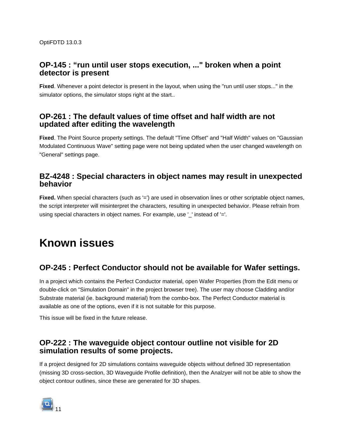## **OP-145 : "run until user stops execution, ..." broken when a point detector is present**

**Fixed**. Whenever a point detector is present in the layout, when using the "run until user stops..." in the simulator options, the simulator stops right at the start..

## **OP-261 : The default values of time offset and half width are not updated after editing the wavelength**

**Fixed**. The Point Source property settings. The default "Time Offset" and "Half Width" values on "Gaussian Modulated Continuous Wave" setting page were not being updated when the user changed wavelength on "General" settings page.

# **BZ-4248 : Special characters in object names may result in unexpected behavior**

Fixed. When special characters (such as '=') are used in observation lines or other scriptable object names, the script interpreter will misinterpret the characters, resulting in unexpected behavior. Please refrain from using special characters in object names. For example, use '\_' instead of '='.

# **Known issues**

# **OP-245 : Perfect Conductor should not be available for Wafer settings.**

In a project which contains the Perfect Conductor material, open Wafer Properties (from the Edit menu or double-click on "Simulation Domain" in the project browser tree). The user may choose Cladding and/or Substrate material (ie. background material) from the combo-box. The Perfect Conductor material is available as one of the options, even if it is not suitable for this purpose.

This issue will be fixed in the future release.

## **OP-222 : The waveguide object contour outline not visible for 2D simulation results of some projects.**

If a project designed for 2D simulations contains waveguide objects without defined 3D representation (missing 3D cross-section, 3D Waveguide Profile definition), then the Analzyer will not be able to show the object contour outlines, since these are generated for 3D shapes.

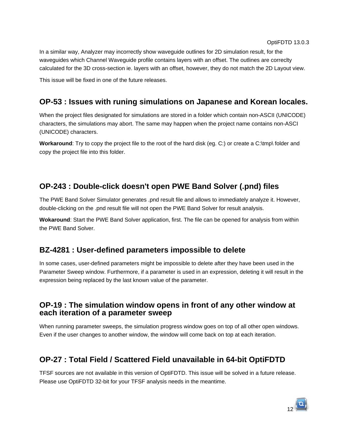In a similar way, Analyzer may incorrectly show waveguide outlines for 2D simulation result, for the waveguides which Channel Waveguide profile contains layers with an offset. The outlines are correclty calculated for the 3D cross-section ie. layers with an offset, however, they do not match the 2D Layout view.

This issue will be fixed in one of the future releases.

# **OP-53 : Issues with runing simulations on Japanese and Korean locales.**

When the project files designated for simulations are stored in a folder which contain non-ASCII (UNICODE) characters, the simulations may abort. The same may happen when the project name contains non-ASCI (UNICODE) characters.

**Workaround**: Try to copy the project file to the root of the hard disk (eg. C:) or create a C:\tmp\ folder and copy the project file into this folder.

# **OP-243 : Double-click doesn't open PWE Band Solver (.pnd) files**

The PWE Band Solver Simulator generates .pnd result file and allows to immediately analyze it. However, double-clicking on the .pnd result file will not open the PWE Band Solver for result analysis.

**Wokaround**: Start the PWE Band Solver application, first. The file can be opened for analysis from within the PWE Band Solver.

## **BZ-4281 : User-defined parameters impossible to delete**

In some cases, user-defined parameters might be impossible to delete after they have been used in the Parameter Sweep window. Furthermore, if a parameter is used in an expression, deleting it will result in the expression being replaced by the last known value of the parameter.

## **OP-19 : The simulation window opens in front of any other window at each iteration of a parameter sweep**

When running parameter sweeps, the simulation progress window goes on top of all other open windows. Even if the user changes to another window, the window will come back on top at each iteration.

# **OP-27 : Total Field / Scattered Field unavailable in 64-bit OptiFDTD**

TFSF sources are not available in this version of OptiFDTD. This issue will be solved in a future release. Please use OptiFDTD 32-bit for your TFSF analysis needs in the meantime.